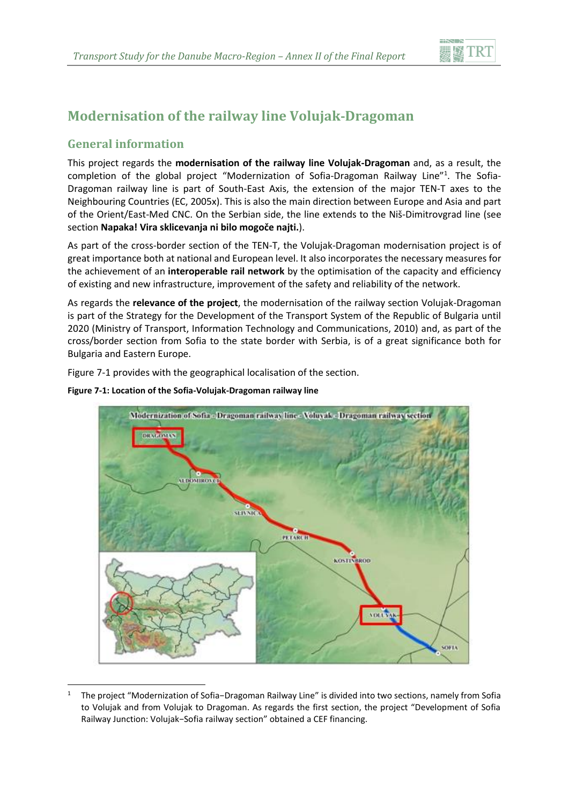

# **Modernisation of the railway line Volujak-Dragoman**

# **General information**

This project regards the **modernisation of the railway line Volujak-Dragoman** and, as a result, the completion of the global project "Modernization of Sofia-Dragoman Railway Line"<sup>1</sup>. The Sofia-Dragoman railway line is part of South-East Axis, the extension of the major TEN-T axes to the Neighbouring Countries (EC, 2005x). This is also the main direction between Europe and Asia and part of the Orient/East-Med CNC. On the Serbian side, the line extends to the Niš-Dimitrovgrad line (see section **Napaka! Vira sklicevanja ni bilo mogoče najti.**).

As part of the cross-border section of the TEN-T, the Volujak-Dragoman modernisation project is of great importance both at national and European level. It also incorporates the necessary measures for the achievement of an **interoperable rail network** by the optimisation of the capacity and efficiency of existing and new infrastructure, improvement of the safety and reliability of the network.

As regards the **relevance of the project**, the modernisation of the railway section Volujak-Dragoman is part of the Strategy for the Development of the Transport System of the Republic of Bulgaria until 2020 (Ministry of Transport, Information Technology and Communications, 2010) and, as part of the cross/border section from Sofia to the state border with Serbia, is of a great significance both for Bulgaria and Eastern Europe.

[Figure 7-1](#page-0-0) provides with the geographical localisation of the section.



#### <span id="page-0-0"></span>**Figure 7-1: Location of the Sofia-Volujak-Dragoman railway line**

<sup>1</sup> <sup>1</sup> The project "Modernization of Sofia−Dragoman Railway Line" is divided into two sections, namely from Sofia to Volujak and from Volujak to Dragoman. As regards the first section, the project "Development of Sofia Railway Junction: Volujak−Sofia railway section" obtained a CEF financing.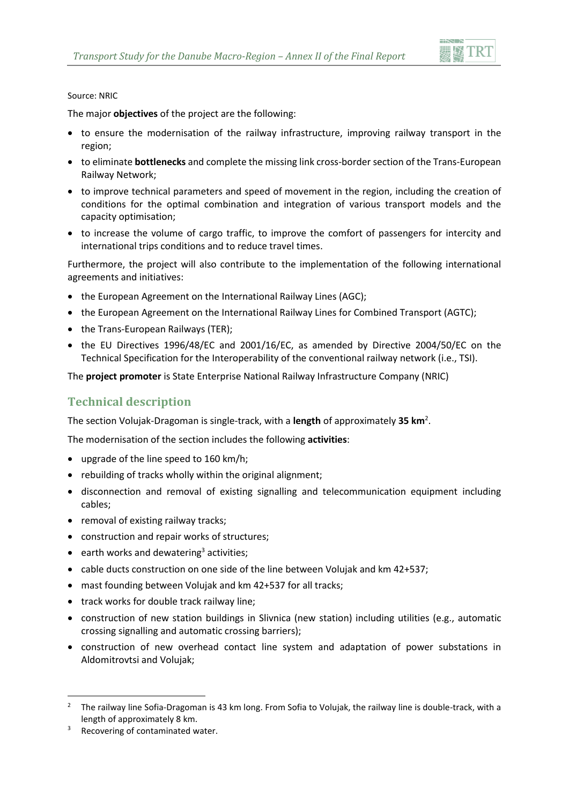

#### Source: NRIC

The major **objectives** of the project are the following:

- to ensure the modernisation of the railway infrastructure, improving railway transport in the region;
- to eliminate **bottlenecks** and complete the missing link cross-border section of the Trans-European Railway Network;
- to improve technical parameters and speed of movement in the region, including the creation of conditions for the optimal combination and integration of various transport models and the capacity optimisation;
- to increase the volume of cargo traffic, to improve the comfort of passengers for intercity and international trips conditions and to reduce travel times.

Furthermore, the project will also contribute to the implementation of the following international agreements and initiatives:

- the European Agreement on the International Railway Lines (AGC);
- the European Agreement on the International Railway Lines for Combined Transport (AGTC);
- the Trans-European Railways (TER);
- the EU Directives 1996/48/EC and 2001/16/EC, as amended by Directive 2004/50/EC on the Technical Specification for the Interoperability of the conventional railway network (i.e., TSI).

The **project promoter** is State Enterprise National Railway Infrastructure Company (NRIC)

# **Technical description**

The section Volujak-Dragoman is single-track, with a **length** of approximately **35 km**<sup>2</sup> .

The modernisation of the section includes the following **activities**:

- upgrade of the line speed to 160 km/h;
- rebuilding of tracks wholly within the original alignment;
- disconnection and removal of existing signalling and telecommunication equipment including cables;
- removal of existing railway tracks;
- construction and repair works of structures;
- earth works and dewatering<sup>3</sup> activities;
- cable ducts construction on one side of the line between Volujak and km  $42+537$ ;
- mast founding between Volujak and km 42+537 for all tracks;
- track works for double track railway line;
- construction of new station buildings in Slivnica (new station) including utilities (e.g., automatic crossing signalling and automatic crossing barriers);
- construction of new overhead contact line system and adaptation of power substations in Aldomitrovtsi and Volujak;

**.** 

<sup>2</sup> The railway line Sofia-Dragoman is 43 km long. From Sofia to Volujak, the railway line is double-track, with a length of approximately 8 km.

Recovering of contaminated water.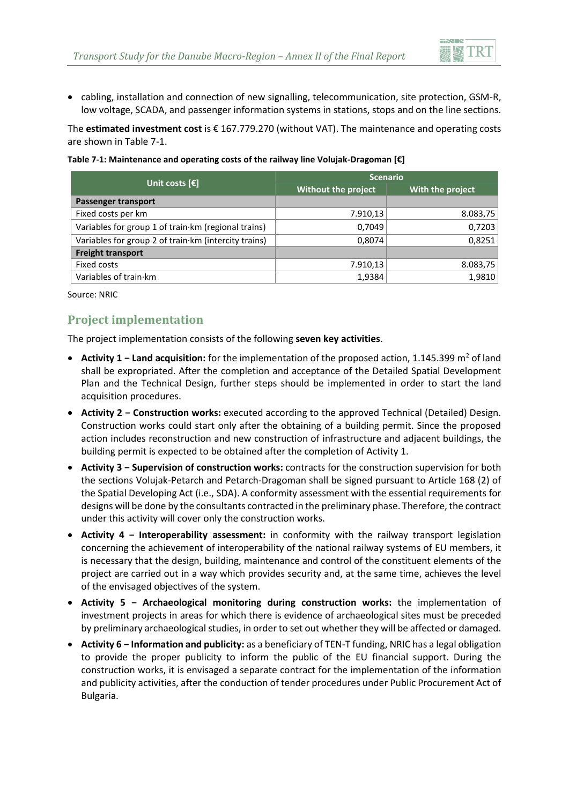

 cabling, installation and connection of new signalling, telecommunication, site protection, GSM-R, low voltage, SCADA, and passenger information systems in stations, stops and on the line sections.

The **estimated investment cost** is € 167.779.270 (without VAT). The maintenance and operating costs are shown in [Table 7-1.](#page-2-0)

<span id="page-2-0"></span>

| Table 7-1: Maintenance and operating costs of the railway line Volujak-Dragoman [€] |
|-------------------------------------------------------------------------------------|
|-------------------------------------------------------------------------------------|

| Unit costs $\lceil \xi \rceil$                       | <b>Scenario</b>     |                  |  |
|------------------------------------------------------|---------------------|------------------|--|
|                                                      | Without the project | With the project |  |
| Passenger transport                                  |                     |                  |  |
| Fixed costs per km                                   | 7.910,13            | 8.083,75         |  |
| Variables for group 1 of train km (regional trains)  | 0,7049              | 0,7203           |  |
| Variables for group 2 of train km (intercity trains) | 0,8074              | 0,8251           |  |
| <b>Freight transport</b>                             |                     |                  |  |
| Fixed costs                                          | 7.910,13            | 8.083,75         |  |
| Variables of train·km                                | 1,9384              | 1,9810           |  |

Source: NRIC

### **Project implementation**

The project implementation consists of the following **seven key activities**.

- **Activity 1 Land acquisition:** for the implementation of the proposed action, 1.145.399 m<sup>2</sup> of land shall be expropriated. After the completion and acceptance of the Detailed Spatial Development Plan and the Technical Design, further steps should be implemented in order to start the land acquisition procedures.
- **Activity 2 − Construction works:** executed according to the approved Technical (Detailed) Design. Construction works could start only after the obtaining of a building permit. Since the proposed action includes reconstruction and new construction of infrastructure and adjacent buildings, the building permit is expected to be obtained after the completion of Activity 1.
- **Activity 3 − Supervision of construction works:** contracts for the construction supervision for both the sections Volujak-Petarch and Petarch-Dragoman shall be signed pursuant to Article 168 (2) of the Spatial Developing Act (i.e., SDA). A conformity assessment with the essential requirements for designs will be done by the consultants contracted in the preliminary phase. Therefore, the contract under this activity will cover only the construction works.
- **Activity 4 − Interoperability assessment:** in conformity with the railway transport legislation concerning the achievement of interoperability of the national railway systems of EU members, it is necessary that the design, building, maintenance and control of the constituent elements of the project are carried out in a way which provides security and, at the same time, achieves the level of the envisaged objectives of the system.
- **Activity 5 − Archaeological monitoring during construction works:** the implementation of investment projects in areas for which there is evidence of archaeological sites must be preceded by preliminary archaeological studies, in order to set out whether they will be affected or damaged.
- **Activity 6 − Information and publicity:** as a beneficiary of TEN-T funding, NRIC has a legal obligation to provide the proper publicity to inform the public of the EU financial support. During the construction works, it is envisaged a separate contract for the implementation of the information and publicity activities, after the conduction of tender procedures under Public Procurement Act of Bulgaria.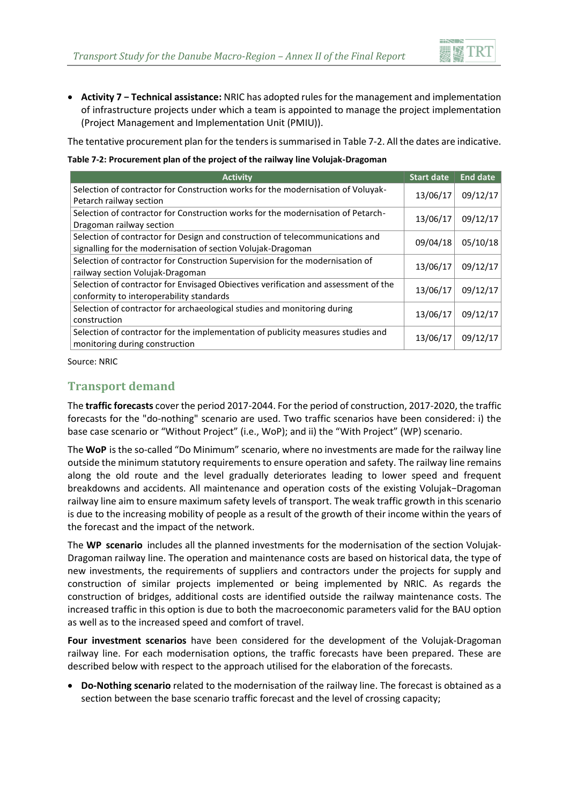

 **Activity 7 − Technical assistance:** NRIC has adopted rules for the management and implementation of infrastructure projects under which a team is appointed to manage the project implementation (Project Management and Implementation Unit (PMIU)).

The tentative procurement plan for the tenders is summarised in [Table 7-2.](#page-3-0) All the dates are indicative.

<span id="page-3-0"></span>**Table 7-2: Procurement plan of the project of the railway line Volujak-Dragoman**

| <b>Activity</b>                                                                                                                               | <b>Start date</b> | <b>End date</b> |
|-----------------------------------------------------------------------------------------------------------------------------------------------|-------------------|-----------------|
| Selection of contractor for Construction works for the modernisation of Voluyak-<br>Petarch railway section                                   | 13/06/17          | 09/12/17        |
| Selection of contractor for Construction works for the modernisation of Petarch-<br>Dragoman railway section                                  | 13/06/17          | 09/12/17        |
| Selection of contractor for Design and construction of telecommunications and<br>signalling for the modernisation of section Volujak-Dragoman | 09/04/18          | 05/10/18        |
| Selection of contractor for Construction Supervision for the modernisation of<br>railway section Volujak-Dragoman                             | 13/06/17          | 09/12/17        |
| Selection of contractor for Envisaged Obiectives verification and assessment of the<br>conformity to interoperability standards               | 13/06/17          | 09/12/17        |
| Selection of contractor for archaeological studies and monitoring during<br>construction                                                      | 13/06/17          | 09/12/17        |
| Selection of contractor for the implementation of publicity measures studies and<br>monitoring during construction                            | 13/06/17          | 09/12/17        |

Source: NRIC

# **Transport demand**

The **traffic forecasts** cover the period 2017-2044. For the period of construction, 2017-2020, the traffic forecasts for the "do-nothing" scenario are used. Two traffic scenarios have been considered: i) the base case scenario or "Without Project" (i.e., WoP); and ii) the "With Project" (WP) scenario.

The **WoP** is the so-called "Do Minimum" scenario, where no investments are made for the railway line outside the minimum statutory requirements to ensure operation and safety. The railway line remains along the old route and the level gradually deteriorates leading to lower speed and frequent breakdowns and accidents. All maintenance and operation costs of the existing Volujak−Dragoman railway line aim to ensure maximum safety levels of transport. The weak traffic growth in this scenario is due to the increasing mobility of people as a result of the growth of their income within the years of the forecast and the impact of the network.

The **WP scenario** includes all the planned investments for the modernisation of the section Volujak-Dragoman railway line. The operation and maintenance costs are based on historical data, the type of new investments, the requirements of suppliers and contractors under the projects for supply and construction of similar projects implemented or being implemented by NRIC. As regards the construction of bridges, additional costs are identified outside the railway maintenance costs. The increased traffic in this option is due to both the macroeconomic parameters valid for the BAU option as well as to the increased speed and comfort of travel.

**Four investment scenarios** have been considered for the development of the Volujak-Dragoman railway line. For each modernisation options, the traffic forecasts have been prepared. These are described below with respect to the approach utilised for the elaboration of the forecasts.

 **Do-Nothing scenario** related to the modernisation of the railway line. The forecast is obtained as a section between the base scenario traffic forecast and the level of crossing capacity;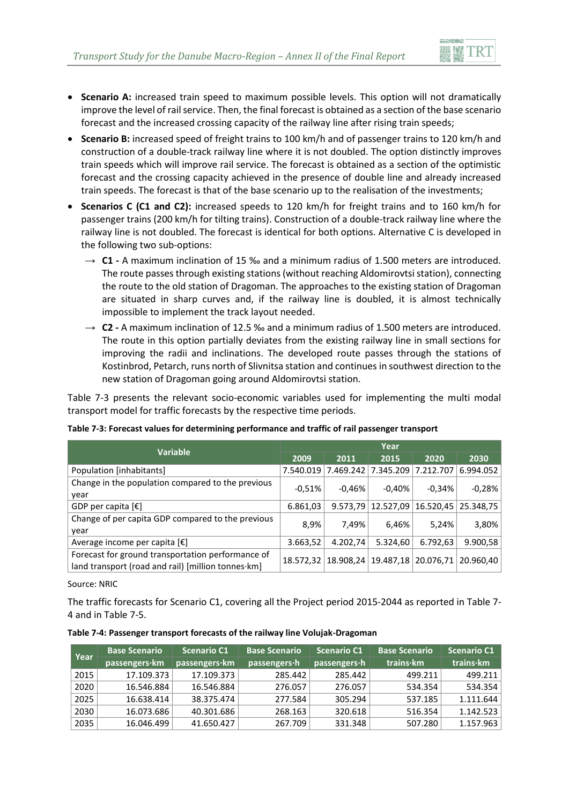

- **Scenario A:** increased train speed to maximum possible levels. This option will not dramatically improve the level of rail service. Then, the final forecast is obtained as a section of the base scenario forecast and the increased crossing capacity of the railway line after rising train speeds;
- **Scenario B:** increased speed of freight trains to 100 km/h and of passenger trains to 120 km/h and construction of a double-track railway line where it is not doubled. The option distinctly improves train speeds which will improve rail service. The forecast is obtained as a section of the optimistic forecast and the crossing capacity achieved in the presence of double line and already increased train speeds. The forecast is that of the base scenario up to the realisation of the investments;
- **Scenarios C (C1 and C2):** increased speeds to 120 km/h for freight trains and to 160 km/h for passenger trains (200 km/h for tilting trains). Construction of a double-track railway line where the railway line is not doubled. The forecast is identical for both options. Alternative C is developed in the following two sub-options:
	- $\rightarrow$  **C1** A maximum inclination of 15 ‰ and a minimum radius of 1.500 meters are introduced. The route passes through existing stations (without reaching Aldomirovtsi station), connecting the route to the old station of Dragoman. The approaches to the existing station of Dragoman are situated in sharp curves and, if the railway line is doubled, it is almost technically impossible to implement the track layout needed.
	- $\rightarrow$  **C2** A maximum inclination of 12.5 ‰ and a minimum radius of 1.500 meters are introduced. The route in this option partially deviates from the existing railway line in small sections for improving the radii and inclinations. The developed route passes through the stations of Kostinbrod, Petarch, runs north of Slivnitsa station and continues in southwest direction to the new station of Dragoman going around Aldomirovtsi station.

[Table 7-3](#page-4-0) presents the relevant socio-economic variables used for implementing the multi modal transport model for traffic forecasts by the respective time periods.

| <b>Variable</b>                                                                                         | Year      |           |           |           |           |
|---------------------------------------------------------------------------------------------------------|-----------|-----------|-----------|-----------|-----------|
|                                                                                                         | 2009      | 2011      | 2015      | 2020      | 2030      |
| Population [inhabitants]                                                                                | 7.540.019 | 7.469.242 | 7.345.209 | 7.212.707 | 6.994.052 |
| Change in the population compared to the previous<br>year                                               | $-0.51%$  | $-0.46%$  | $-0.40%$  | $-0.34%$  | $-0,28%$  |
| GDP per capita $[\mathbf{\epsilon}]$                                                                    | 6.861,03  | 9.573,79  | 12.527,09 | 16.520,45 | 25.348,75 |
| Change of per capita GDP compared to the previous<br>year                                               | 8,9%      | 7,49%     | 6,46%     | 5,24%     | 3,80%     |
| Average income per capita $[\mathbf{\epsilon}]$                                                         | 3.663,52  | 4.202,74  | 5.324,60  | 6.792,63  | 9.900,58  |
| Forecast for ground transportation performance of<br>land transport (road and rail) [million tonnes·km] | 18.572,32 | 18.908,24 | 19.487,18 | 20.076,71 | 20.960.40 |

<span id="page-4-0"></span>**Table 7-3: Forecast values for determining performance and traffic of rail passenger transport**

Source: NRIC

The traffic forecasts for Scenario C1, covering all the Project period 2015-2044 as reported in [Table 7-](#page-4-1) [4](#page-4-1) and in [Table 7-5.](#page-5-0)

|                    | <b>Base Scenario</b> | <b>Scenario C1</b> | <b>Base Scenario</b>                                  | $\mid$ Scenario C1 $\mid$ | <b>Base Scenario</b> | $\mid$ Scenario C1 |
|--------------------|----------------------|--------------------|-------------------------------------------------------|---------------------------|----------------------|--------------------|
| <b>Year</b>        |                      |                    | passengers·km passengers·km passengers·h passengers·h |                           | trains∙km            | trains∙km          |
| $\frac{1}{2}$ 2015 | 17.109.373           | 17.109.373         | 285.442                                               | 285.442                   | 499.211 '            | 499.21             |

<span id="page-4-1"></span>**Table 7-4: Passenger transport forecasts of the railway line Volujak-Dragoman**

|                          |               |                                                              |              |                   | <b>SLEHATIO CI</b> |
|--------------------------|---------------|--------------------------------------------------------------|--------------|-------------------|--------------------|
| $pass$ engers $\cdot$ km | passengers·km | passengers·h                                                 | passengers·h | trains·km         | trains·km          |
|                          | 17.109.373    | 285.442                                                      | 285.442      | 499.211           | 499.211            |
|                          | 16.546.884    | 276.057                                                      | 276.057      | 534.354           | 534.354            |
| 16.638.414               | 38.375.474    | 277.584                                                      | 305.294      | 537.185           | 1.111.644          |
|                          | 40.301.686    | 268.163                                                      | 320.618      | 516.354           | 1.142.523          |
| 16.046.499               | 41.650.427    | 267.709                                                      | 331.348      | 507.280           | 1.157.963          |
|                          | Dase Scenario | <b>BUEHALIO CI</b><br>17.109.373<br>16.546.884<br>16.073.686 | разе эсенано | <b>Buenano CI</b> | Dase Stellariu     |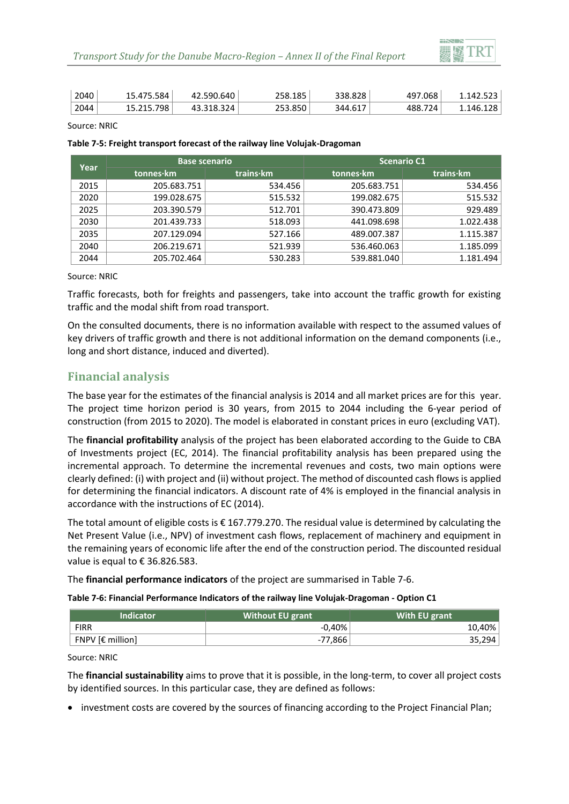

| 2040 | <sup>⊥</sup> 584.د<br>15.475 | 42.590.640 | 258.185 | 338.828 | 497.068        | 1.142.523 |
|------|------------------------------|------------|---------|---------|----------------|-----------|
| 2044 | 15.215.798                   | 43.318.324 | 253.850 | 344.617 | 724<br>، ، 488 | 1.146.128 |

Source: NRIC

#### <span id="page-5-0"></span>**Table 7-5: Freight transport forecast of the railway line Volujak-Dragoman**

| Year | <b>Base scenario</b> |           | <b>Scenario C1</b> |           |
|------|----------------------|-----------|--------------------|-----------|
|      | tonnes·km            | trains·km | tonnes·km          | trains·km |
| 2015 | 205.683.751          | 534.456   | 205.683.751        | 534.456   |
| 2020 | 199.028.675          | 515.532   | 199.082.675        | 515.532   |
| 2025 | 203.390.579          | 512.701   | 390.473.809        | 929.489   |
| 2030 | 201.439.733          | 518.093   | 441.098.698        | 1.022.438 |
| 2035 | 207.129.094          | 527.166   | 489.007.387        | 1.115.387 |
| 2040 | 206.219.671          | 521.939   | 536.460.063        | 1.185.099 |
| 2044 | 205.702.464          | 530.283   | 539.881.040        | 1.181.494 |

Source: NRIC

Traffic forecasts, both for freights and passengers, take into account the traffic growth for existing traffic and the modal shift from road transport.

On the consulted documents, there is no information available with respect to the assumed values of key drivers of traffic growth and there is not additional information on the demand components (i.e., long and short distance, induced and diverted).

# **Financial analysis**

The base year for the estimates of the financial analysis is 2014 and all market prices are for this year. The project time horizon period is 30 years, from 2015 to 2044 including the 6-year period of construction (from 2015 to 2020). The model is elaborated in constant prices in euro (excluding VAT).

The **financial profitability** analysis of the project has been elaborated according to the Guide to CBA of Investments project (EC, 2014). The financial profitability analysis has been prepared using the incremental approach. To determine the incremental revenues and costs, two main options were clearly defined: (i) with project and (ii) without project. The method of discounted cash flows is applied for determining the financial indicators. A discount rate of 4% is employed in the financial analysis in accordance with the instructions of EC (2014).

The total amount of eligible costs is € 167.779.270. The residual value is determined by calculating the Net Present Value (i.e., NPV) of investment cash flows, replacement of machinery and equipment in the remaining years of economic life after the end of the construction period. The discounted residual value is equal to € 36.826.583.

The **financial performance indicators** of the project are summarised in [Table 7-6.](#page-5-1)

#### <span id="page-5-1"></span>**Table 7-6: Financial Performance Indicators of the railway line Volujak-Dragoman - Option C1**

| <b>Indicator</b>      | <b>Without EU grant</b> | With EU grant |
|-----------------------|-------------------------|---------------|
| <b>FIRR</b>           | $-0.40\%$               | 10,40%        |
| $FNPV$ [ $E$ million] | -77,866                 | 35,294        |

Source: NRIC

The **financial sustainability** aims to prove that it is possible, in the long-term, to cover all project costs by identified sources. In this particular case, they are defined as follows:

• investment costs are covered by the sources of financing according to the Project Financial Plan;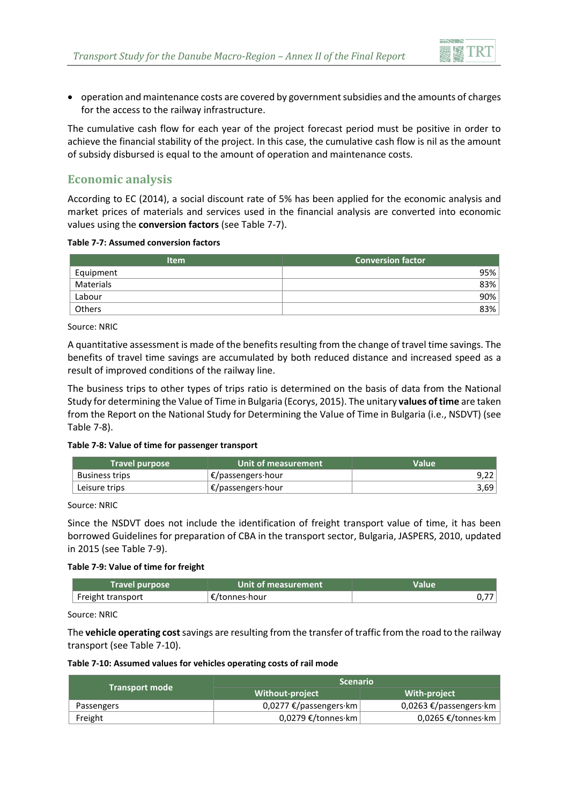

 operation and maintenance costs are covered by government subsidies and the amounts of charges for the access to the railway infrastructure.

The cumulative cash flow for each year of the project forecast period must be positive in order to achieve the financial stability of the project. In this case, the cumulative cash flow is nil as the amount of subsidy disbursed is equal to the amount of operation and maintenance costs.

# **Economic analysis**

According to EC (2014), a social discount rate of 5% has been applied for the economic analysis and market prices of materials and services used in the financial analysis are converted into economic values using the **conversion factors** (se[e Table 7-7\)](#page-6-0).

#### <span id="page-6-0"></span>**Table 7-7: Assumed conversion factors**

| <b>Item</b>   | <b>Conversion factor</b> |
|---------------|--------------------------|
| Equipment     | 95%                      |
| Materials     | 83%                      |
| Labour        | 90%                      |
| <b>Others</b> | 83%                      |

Source: NRIC

A quantitative assessment is made of the benefits resulting from the change of travel time savings. The benefits of travel time savings are accumulated by both reduced distance and increased speed as a result of improved conditions of the railway line.

The business trips to other types of trips ratio is determined on the basis of data from the National Study for determining the Value of Time in Bulgaria (Ecorys, 2015). The unitary **values of time** are taken from the Report on the National Study for Determining the Value of Time in Bulgaria (i.e., NSDVT) (see [Table 7-8\)](#page-6-1).

#### <span id="page-6-1"></span>**Table 7-8: Value of time for passenger transport**

| <b>Travel purpose</b> | Unit of measurement         | <b>Value</b> |
|-----------------------|-----------------------------|--------------|
| <b>Business trips</b> | $E$ /passengers·hour        |              |
| Leisure trips         | $\epsilon$ /passengers·hour | 3,69         |

Source: NRIC

Since the NSDVT does not include the identification of freight transport value of time, it has been borrowed Guidelines for preparation of CBA in the transport sector, Bulgaria, JASPERS, 2010, updated in 2015 (se[e Table 7-9\)](#page-6-2).

#### <span id="page-6-2"></span>**Table 7-9: Value of time for freight**

| <b>Travel purpose</b> | Unit of measurement | Value |
|-----------------------|---------------------|-------|
| Freight transport     | €/tonnes·hour       |       |

Source: NRIC

The **vehicle operating cost**savings are resulting from the transfer of traffic from the road to the railway transport (see [Table 7-10\)](#page-6-3).

#### <span id="page-6-3"></span>**Table 7-10: Assumed values for vehicles operating costs of rail mode**

|                       | <b>Scenario</b>                |                            |  |
|-----------------------|--------------------------------|----------------------------|--|
| <b>Transport mode</b> | <b>Without-project</b>         | <b>With-project</b>        |  |
| Passengers            | 0,0277 €/passengers $\cdot$ km | 0,0263 €/passengers·km     |  |
| Freight               | $0.0279$ €/tonnes·km           | 0,0265 €/tonnes $\cdot$ km |  |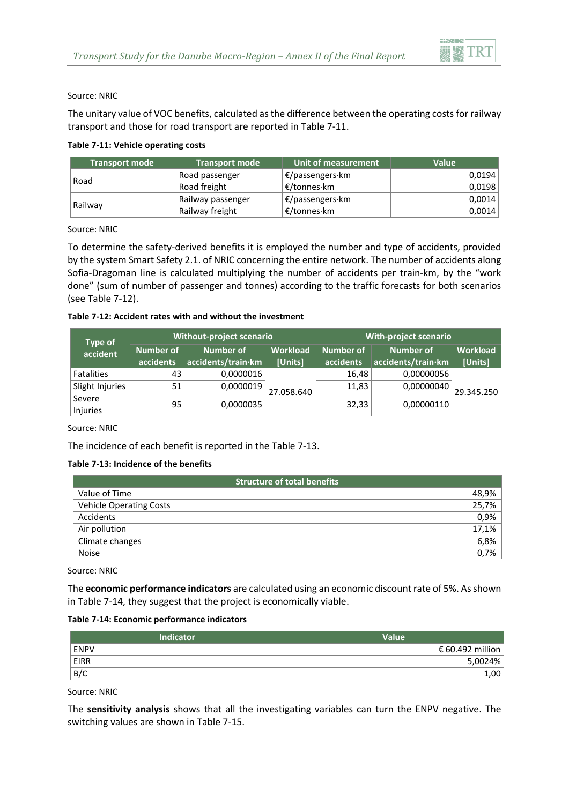

Source: NRIC

The unitary value of VOC benefits, calculated as the difference between the operating costs for railway transport and those for road transport are reported in [Table 7-11.](#page-7-0)

#### <span id="page-7-0"></span>**Table 7-11: Vehicle operating costs**

| <b>Transport mode</b> | <b>Transport mode</b> | Unit of measurement                  | Value  |
|-----------------------|-----------------------|--------------------------------------|--------|
| Road                  | Road passenger        | $\mathcal{E}/$ passengers $\cdot$ km | 0.0194 |
|                       | Road freight          | ∣ €/tonnes·km                        | 0,0198 |
| Railway               | Railway passenger     | <b>E/passengers·km</b>               | 0,0014 |
|                       | Railway freight       | ∣€/tonnes·km                         | 0,0014 |

Source: NRIC

To determine the safety-derived benefits it is employed the number and type of accidents, provided by the system Smart Safety 2.1. of NRIC concerning the entire network. The number of accidents along Sofia-Dragoman line is calculated multiplying the number of accidents per train-km, by the "work done" (sum of number of passenger and tonnes) according to the traffic forecasts for both scenarios (see [Table 7-12\)](#page-7-1).

#### <span id="page-7-1"></span>**Table 7-12: Accident rates with and without the investment**

| <b>Type of</b>     | <b>Without-project scenario</b> |                                 | <b>With-project scenario</b> |                               |                                 |                            |
|--------------------|---------------------------------|---------------------------------|------------------------------|-------------------------------|---------------------------------|----------------------------|
| accident           | Number of<br>accidents          | Number of<br>accidents/train·km | <b>Workload</b><br>[Units]   | <b>Number of</b><br>accidents | Number of<br>accidents/train·km | <b>Workload</b><br>[Units] |
| <b>Fatalities</b>  | 43                              | 0,0000016                       |                              | 16,48                         | 0,00000056                      |                            |
| Slight Injuries    | 51                              | 0,0000019                       | 27.058.640                   | 11,83                         | 0,00000040                      | 29.345.250                 |
| Severe<br>Injuries | 95                              | 0,0000035                       |                              | 32,33                         | 0,00000110                      |                            |

Source: NRIC

The incidence of each benefit is reported in th[e Table 7-13.](#page-7-2)

#### <span id="page-7-2"></span>**Table 7-13: Incidence of the benefits**

| <b>Structure of total benefits</b> |       |
|------------------------------------|-------|
| Value of Time                      | 48,9% |
| <b>Vehicle Operating Costs</b>     | 25,7% |
| Accidents                          | 0,9%  |
| Air pollution                      | 17,1% |
| Climate changes                    | 6,8%  |
| <b>Noise</b>                       | 0,7%  |

Source: NRIC

The **economic performance indicators** are calculated using an economic discount rate of 5%. As shown i[n Table 7-14,](#page-7-3) they suggest that the project is economically viable.

#### <span id="page-7-3"></span>**Table 7-14: Economic performance indicators**

| Indicator   | Value            |
|-------------|------------------|
| <b>ENPV</b> | € 60.492 million |
| EIRR        | 5,0024%          |
| B/C         | .00              |

Source: NRIC

The **sensitivity analysis** shows that all the investigating variables can turn the ENPV negative. The switching values are shown in [Table 7-15.](#page-8-0)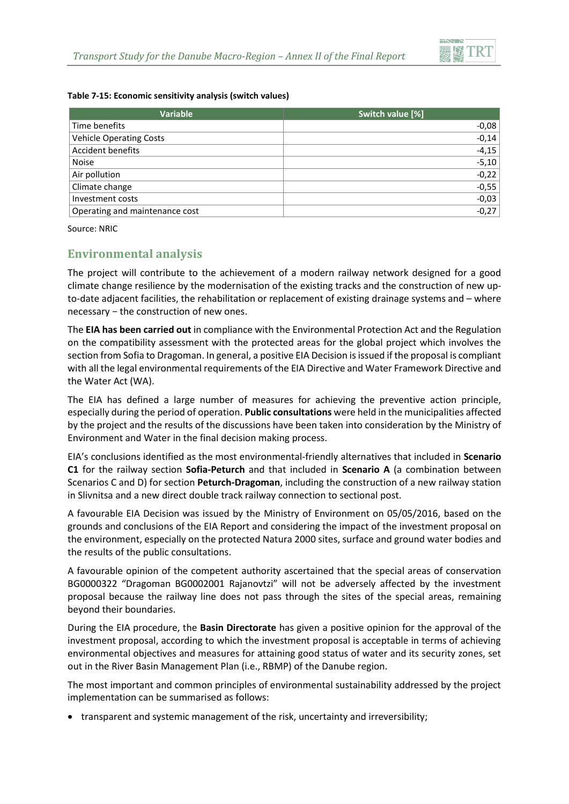

#### <span id="page-8-0"></span>**Table 7-15: Economic sensitivity analysis (switch values)**

| <b>Variable</b>                | Switch value [%] |
|--------------------------------|------------------|
| Time benefits                  | $-0,08$          |
| <b>Vehicle Operating Costs</b> | $-0,14$          |
| Accident benefits              | $-4,15$          |
| <b>Noise</b>                   | $-5,10$          |
| Air pollution                  | $-0,22$          |
| Climate change                 | $-0,55$          |
| Investment costs               | $-0,03$          |
| Operating and maintenance cost | $-0,27$          |

Source: NRIC

### **Environmental analysis**

The project will contribute to the achievement of a modern railway network designed for a good climate change resilience by the modernisation of the existing tracks and the construction of new upto-date adjacent facilities, the rehabilitation or replacement of existing drainage systems and – where necessary − the construction of new ones.

The **EIA has been carried out** in compliance with the Environmental Protection Act and the Regulation on the compatibility assessment with the protected areas for the global project which involves the section from Sofia to Dragoman. In general, a positive EIA Decision is issued if the proposal is compliant with all the legal environmental requirements of the EIA Directive and Water Framework Directive and the Water Act (WA).

The EIA has defined a large number of measures for achieving the preventive action principle, especially during the period of operation. **Public consultations** were held in the municipalities affected by the project and the results of the discussions have been taken into consideration by the Ministry of Environment and Water in the final decision making process.

EIA's conclusions identified as the most environmental-friendly alternatives that included in **Scenario C1** for the railway section **Sofia-Peturch** and that included in **Scenario A** (a combination between Scenarios C and D) for section **Peturch-Dragoman**, including the construction of a new railway station in Slivnitsa and a new direct double track railway connection to sectional post.

A favourable EIA Decision was issued by the Ministry of Environment on 05/05/2016, based on the grounds and conclusions of the EIA Report and considering the impact of the investment proposal on the environment, especially on the protected Natura 2000 sites, surface and ground water bodies and the results of the public consultations.

A favourable opinion of the competent authority ascertained that the special areas of conservation BG0000322 "Dragoman BG0002001 Rajanovtzi" will not be adversely affected by the investment proposal because the railway line does not pass through the sites of the special areas, remaining beyond their boundaries.

During the EIA procedure, the **Basin Directorate** has given a positive opinion for the approval of the investment proposal, according to which the investment proposal is acceptable in terms of achieving environmental objectives and measures for attaining good status of water and its security zones, set out in the River Basin Management Plan (i.e., RBMP) of the Danube region.

The most important and common principles of environmental sustainability addressed by the project implementation can be summarised as follows:

• transparent and systemic management of the risk, uncertainty and irreversibility;